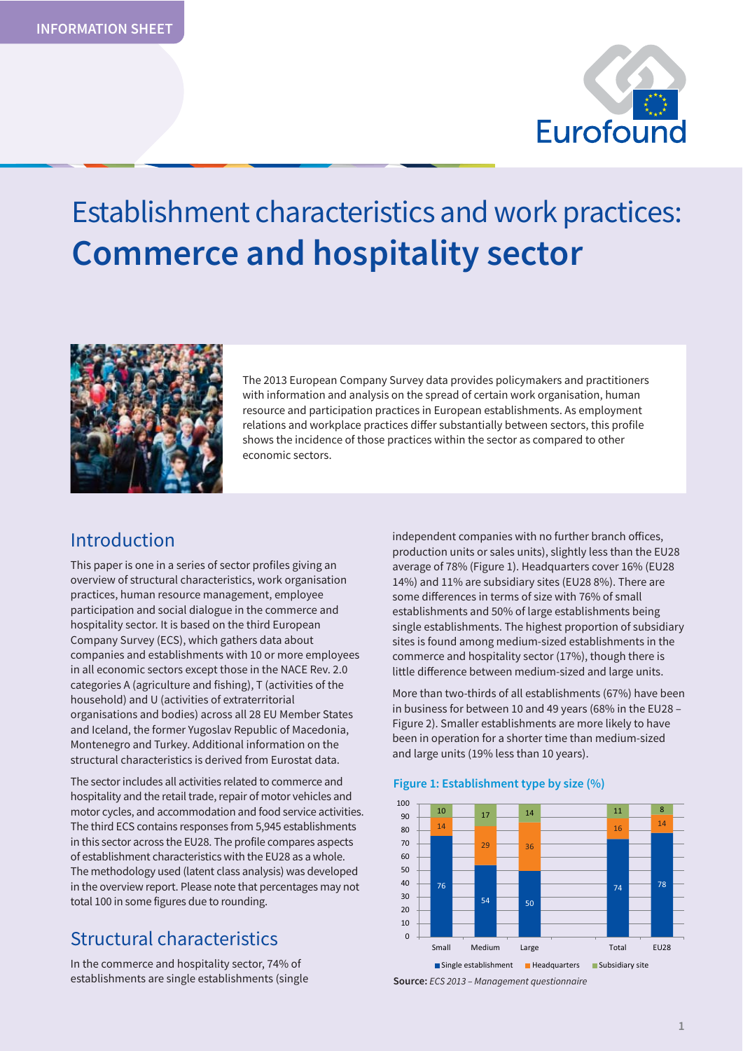

# Establishment characteristics and work practices: **Commerce and hospitality sector**



The 2013 European Company Survey data provides policymakers and practitioners with information and analysis on the spread of certain work organisation, human resource and participation practices in European establishments. As employment relations and workplace practices differ substantially between sectors, this profile shows the incidence of those practices within the sector as compared to other economic sectors.

## Introduction

This paper is one in a series of sector profiles giving an overview of structural characteristics, work organisation practices, human resource management, employee participation and social dialogue in the commerce and hospitality sector. It is based on the third European Company Survey (ECS), which gathers data about companies and establishments with 10 or more employees in all economic sectors except those in the NACE Rev. 2.0 categories A (agriculture and fishing), T (activities of the household) and U (activities of extraterritorial organisations and bodies) across all 28 EU Member States and Iceland, the former Yugoslav Republic of Macedonia, Montenegro and Turkey. Additional information on the structural characteristics is derived from Eurostat data.

The sector includes all activities related to commerce and hospitality and the retail trade, repair of motor vehicles and motor cycles, and accommodation and food service activities. The third ECS contains responses from 5,945 establishments in this sector across the EU28. The profile compares aspects of establishment characteristics with the EU28 as a whole. The methodology used (latent class analysis) was developed in the overview report. Please note that percentages may not total 100 in some figures due to rounding.

## Structural characteristics

In the commerce and hospitality sector, 74% of establishments are single establishments (single independent companies with no further branch offices, production units or sales units), slightly less than the EU28 average of 78% (Figure 1). Headquarters cover 16% (EU28 14%) and 11% are subsidiary sites (EU28 8%). There are some differences in terms of size with 76% of small establishments and 50% of large establishments being single establishments. The highest proportion of subsidiary sites is found among medium-sized establishments in the commerce and hospitality sector (17%), though there is little difference between medium-sized and large units.

More than two-thirds of all establishments (67%) have been in business for between 10 and 49 years (68% in the EU28 – Figure 2). Smaller establishments are more likely to have been in operation for a shorter time than medium-sized and large units (19% less than 10 years).

#### 76  $54$  50  $74$   $78$ 14  $29$   $36$  $16$ 10 17 14 14 11 1 0 10 20 30 40 50 60 70 80  $90$ 100 Small Medium Large **Total** EU28 Single establishment Headquarters Subsidiary site

#### **Figure 1: Establishment type by size (%)**

**Source:** *ECS 2013 – Management questionnaire*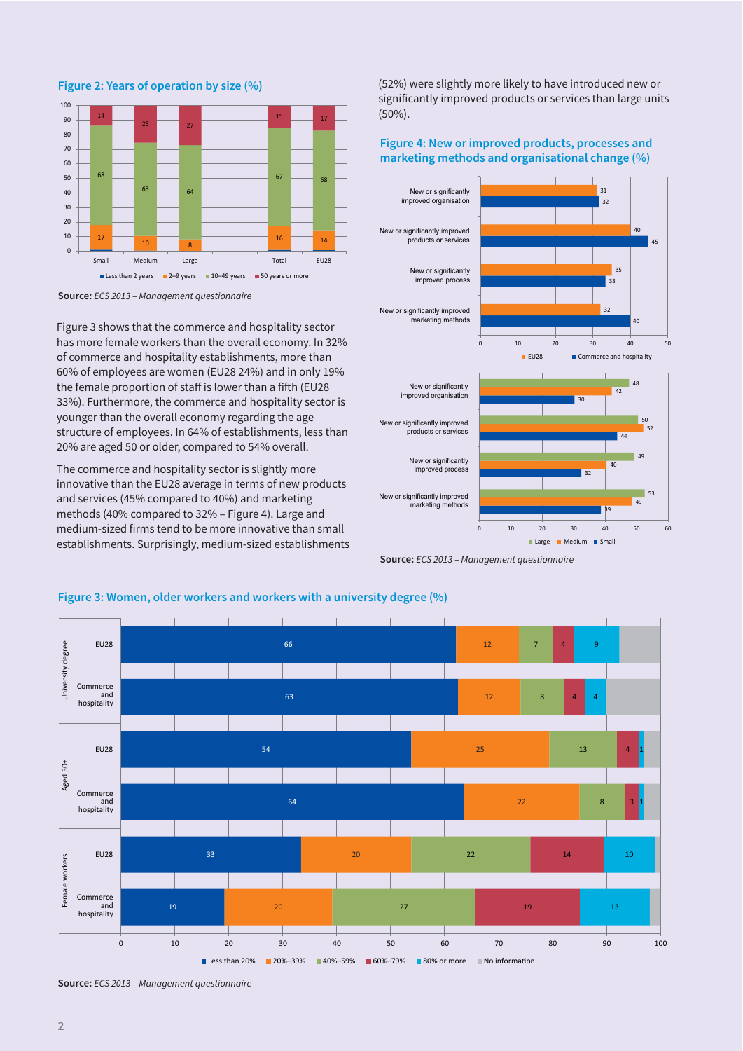$\begin{array}{|c|c|c|c|c|}\n\hline\n10 & 8 & 16 & 14 \\
\hline\n\end{array}$ 68 63 64  $67$   $68$ 14 25 27  $15$  17  $\Omega$ 10 20 30 40 50  $60$ 70 80 90 100 Small Medium Large Total EU28 Less than 2 years  $\Box$  2–9 years  $\Box$  10–49 years  $\Box$  50 years or more

**Figure 2: Years of operation by size (%)** 



Figure 3 shows that the commerce and hospitality sector has more female workers than the overall economy. In 32% of commerce and hospitality establishments, more than 60% of employees are women (EU28 24%) and in only 19% the female proportion of staff is lower than a fifth (EU28 33%). Furthermore, the commerce and hospitality sector is younger than the overall economy regarding the age structure of employees. In 64% of establishments, less than 20% are aged 50 or older, compared to 54% overall.

The commerce and hospitality sector is slightly more innovative than the EU28 average in terms of new products and services (45% compared to 40%) and marketing methods (40% compared to 32% – Figure 4). Large and medium-sized firms tend to be more innovative than small establishments. Surprisingly, medium-sized establishments

(52%) were slightly more likely to have introduced new or significantly improved products or services than large units (50%).

#### **Figure 4: New or improved products, processes and marketing methods and organisational change (%)**







#### **Figure 3: Women, older workers and workers with a university degree (%)**

**Source:** *ECS 2013 – Management questionnaire*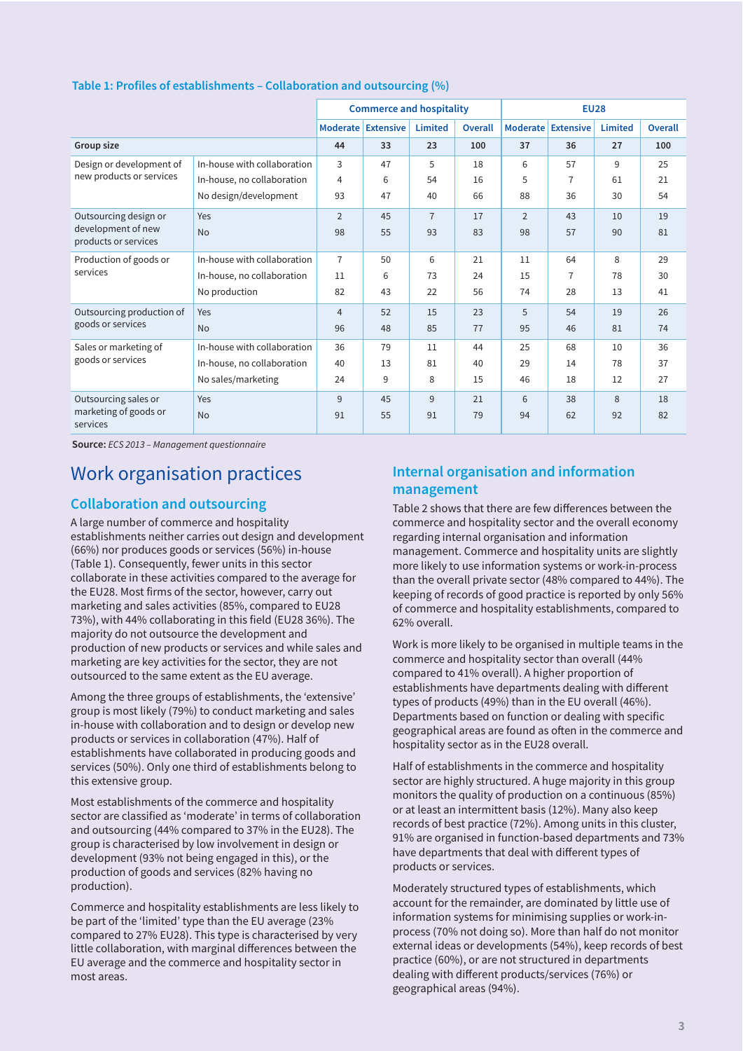|                                            |                             |                | <b>Commerce and hospitality</b> |                |                | <b>EU28</b>        |                |                |         |  |
|--------------------------------------------|-----------------------------|----------------|---------------------------------|----------------|----------------|--------------------|----------------|----------------|---------|--|
|                                            |                             |                | Moderate Extensive              | <b>Limited</b> | <b>Overall</b> | Moderate Extensive |                | <b>Limited</b> | Overall |  |
| Group size                                 |                             | 44             | 33                              | 23             | 100            | 37                 | 36             | 27             | 100     |  |
| Design or development of                   | In-house with collaboration | 3              | 47                              | 5              | 18             | 6                  | 57             | 9              | 25      |  |
| new products or services                   | In-house, no collaboration  | $\overline{4}$ | 6                               | 54             | 16             | 5                  | $\overline{7}$ | 61             | 21      |  |
|                                            | No design/development       | 93             | 47                              | 40             | 66             | 88                 | 36             | 30             | 54      |  |
| Outsourcing design or                      | Yes                         | $\overline{2}$ | 45                              | $\overline{7}$ | 17             | $\overline{2}$     | 43             | 10             | 19      |  |
| development of new<br>products or services | <b>No</b>                   | 98             | 55                              | 93             | 83             | 98                 | 57             | 90             | 81      |  |
| Production of goods or<br>services         | In-house with collaboration | $\overline{7}$ | 50                              | 6              | 21             | 11                 | 64             | 8              | 29      |  |
|                                            | In-house, no collaboration  | 11             | 6                               | 73             | 24             | 15                 | $\overline{7}$ | 78             | 30      |  |
|                                            | No production               | 82             | 43                              | 22             | 56             | 74                 | 28             | 13             | 41      |  |
| Outsourcing production of                  | Yes                         | $\overline{4}$ | 52                              | 15             | 23             | 5                  | 54             | 19             | 26      |  |
| goods or services                          | <b>No</b>                   | 96             | 48                              | 85             | 77             | 95                 | 46             | 81             | 74      |  |
| Sales or marketing of                      | In-house with collaboration | 36             | 79                              | 11             | 44             | 25                 | 68             | 10             | 36      |  |
| goods or services                          | In-house, no collaboration  | 40             | 13                              | 81             | 40             | 29                 | 14             | 78             | 37      |  |
|                                            | No sales/marketing          | 24             | 9                               | 8              | 15             | 46                 | 18             | 12             | 27      |  |
| Outsourcing sales or                       | Yes                         | 9              | 45                              | 9              | 21             | 6                  | 38             | 8              | 18      |  |
| marketing of goods or<br>services          | <b>No</b>                   | 91             | 55                              | 91             | 79             | 94                 | 62             | 92             | 82      |  |

#### **Table 1: Profiles of establishments – Collaboration and outsourcing (%)**

**Source:** *ECS 2013 – Management questionnaire* 

## Work organisation practices

#### **Collaboration and outsourcing**

A large number of commerce and hospitality establishments neither carries out design and development (66%) nor produces goods or services (56%) in-house (Table 1). Consequently, fewer units in this sector collaborate in these activities compared to the average for the EU28. Most firms of the sector, however, carry out marketing and sales activities (85%, compared to EU28 73%), with 44% collaborating in this field (EU28 36%). The majority do not outsource the development and production of new products or services and while sales and marketing are key activities for the sector, they are not outsourced to the same extent as the EU average.

Among the three groups of establishments, the 'extensive' group is most likely (79%) to conduct marketing and sales in-house with collaboration and to design or develop new products or services in collaboration (47%). Half of establishments have collaborated in producing goods and services (50%). Only one third of establishments belong to this extensive group.

Most establishments of the commerce and hospitality sector are classified as 'moderate' in terms of collaboration and outsourcing (44% compared to 37% in the EU28). The group is characterised by low involvement in design or development (93% not being engaged in this), or the production of goods and services (82% having no production).

Commerce and hospitality establishments are less likely to be part of the 'limited' type than the EU average (23% compared to 27% EU28). This type is characterised by very little collaboration, with marginal differences between the EU average and the commerce and hospitality sector in most areas.

### **Internal organisation and information management**

Table 2 shows that there are few differences between the commerce and hospitality sector and the overall economy regarding internal organisation and information management. Commerce and hospitality units are slightly more likely to use information systems or work-in-process than the overall private sector (48% compared to 44%). The keeping of records of good practice is reported by only 56% of commerce and hospitality establishments, compared to 62% overall.

Work is more likely to be organised in multiple teams in the commerce and hospitality sector than overall (44% compared to 41% overall). A higher proportion of establishments have departments dealing with different types of products (49%) than in the EU overall (46%). Departments based on function or dealing with specific geographical areas are found as often in the commerce and hospitality sector as in the EU28 overall.

Half of establishments in the commerce and hospitality sector are highly structured. A huge majority in this group monitors the quality of production on a continuous (85%) or at least an intermittent basis (12%). Many also keep records of best practice (72%). Among units in this cluster, 91% are organised in function-based departments and 73% have departments that deal with different types of products or services.

Moderately structured types of establishments, which account for the remainder, are dominated by little use of information systems for minimising supplies or work-inprocess (70% not doing so). More than half do not monitor external ideas or developments (54%), keep records of best practice (60%), or are not structured in departments dealing with different products/services (76%) or geographical areas (94%).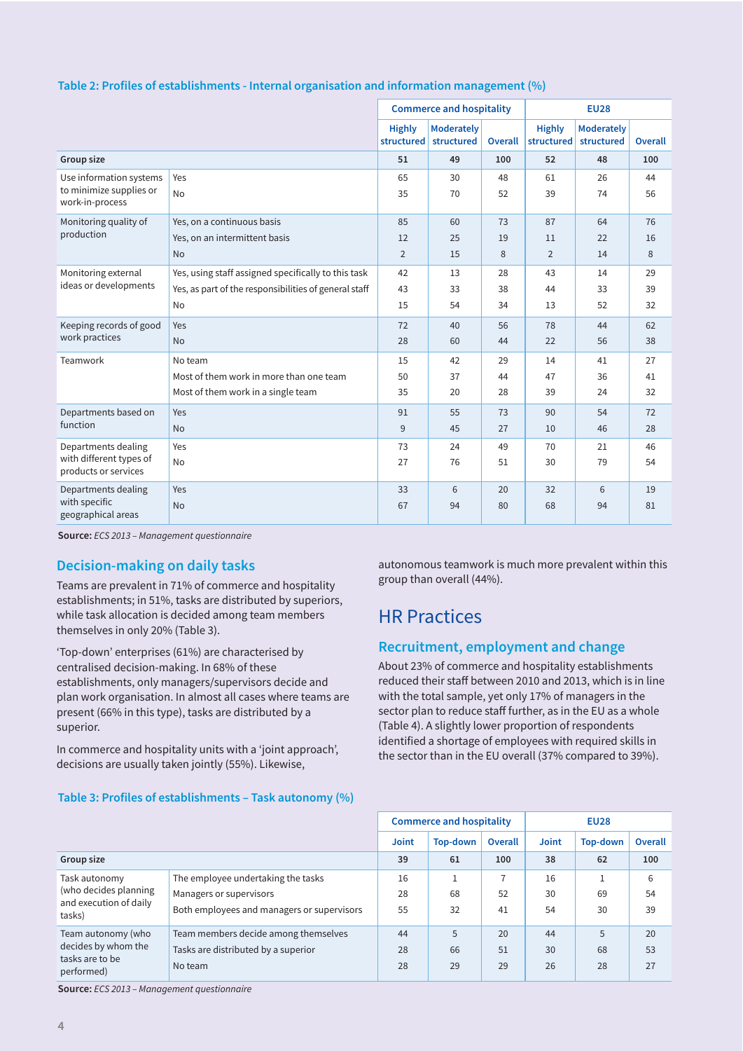|                                                                       |                                                       |                             | <b>Commerce and hospitality</b> |          | <b>EU28</b>                 |                                 |          |  |
|-----------------------------------------------------------------------|-------------------------------------------------------|-----------------------------|---------------------------------|----------|-----------------------------|---------------------------------|----------|--|
|                                                                       |                                                       | <b>Highly</b><br>structured | <b>Moderately</b><br>structured | Overall  | <b>Highly</b><br>structured | <b>Moderately</b><br>structured | Overall  |  |
| Group size                                                            |                                                       | 51                          | 49                              | 100      | 52                          | 48                              | 100      |  |
| Use information systems<br>to minimize supplies or<br>work-in-process | Yes<br><b>No</b>                                      | 65<br>35                    | 30<br>70                        | 48<br>52 | 61<br>39                    | 26<br>74                        | 44<br>56 |  |
| Monitoring quality of                                                 | Yes, on a continuous basis                            | 85                          | 60                              | 73       | 87                          | 64                              | 76       |  |
| production                                                            | Yes, on an intermittent basis                         | 12                          | 25                              | 19       | 11                          | 22                              | 16       |  |
|                                                                       | <b>No</b>                                             | $\overline{2}$              | 15                              | 8        | $\overline{2}$              | 14                              | 8        |  |
| Monitoring external                                                   | Yes, using staff assigned specifically to this task   | 42                          | 13                              | 28       | 43                          | 14                              | 29       |  |
| ideas or developments                                                 | Yes, as part of the responsibilities of general staff | 43                          | 33                              | 38       | 44                          | 33                              | 39       |  |
|                                                                       | No                                                    | 15                          | 54                              | 34       | 13                          | 52                              | 32       |  |
| Keeping records of good                                               | Yes                                                   | 72                          | 40                              | 56       | 78                          | 44                              | 62       |  |
| work practices                                                        | <b>No</b>                                             | 28                          | 60                              | 44       | 22                          | 56                              | 38       |  |
| Teamwork                                                              | No team                                               | 15                          | 42                              | 29       | 14                          | 41                              | 27       |  |
|                                                                       | Most of them work in more than one team               | 50                          | 37                              | 44       | 47                          | 36                              | 41       |  |
|                                                                       | Most of them work in a single team                    | 35                          | 20                              | 28       | 39                          | 24                              | 32       |  |
| Departments based on                                                  | Yes                                                   | 91                          | 55                              | 73       | 90                          | 54                              | 72       |  |
| function                                                              | <b>No</b>                                             | 9                           | 45                              | 27       | 10                          | 46                              | 28       |  |
| Departments dealing                                                   | Yes                                                   | 73                          | 24                              | 49       | 70                          | 21                              | 46       |  |
| with different types of<br>products or services                       | <b>No</b>                                             | 27                          | 76                              | 51       | 30                          | 79                              | 54       |  |
| Departments dealing                                                   | Yes                                                   | 33                          | 6                               | 20       | 32                          | 6                               | 19       |  |
| with specific<br>geographical areas                                   | <b>No</b>                                             | 67                          | 94                              | 80       | 68                          | 94                              | 81       |  |

#### **Table 2: Profiles of establishments - Internal organisation and information management (%)**

**Source:** *ECS 2013 – Management questionnaire* 

#### **Decision-making on daily tasks**

Teams are prevalent in 71% of commerce and hospitality establishments; in 51%, tasks are distributed by superiors, while task allocation is decided among team members themselves in only 20% (Table 3).

'Top-down' enterprises (61%) are characterised by centralised decision-making. In 68% of these establishments, only managers/supervisors decide and plan work organisation. In almost all cases where teams are present (66% in this type), tasks are distributed by a superior.

In commerce and hospitality units with a 'joint approach', decisions are usually taken jointly (55%). Likewise,

**Table 3: Profiles of establishments – Task autonomy (%)** 

autonomous teamwork is much more prevalent within this group than overall (44%).

## HR Practices

#### **Recruitment, employment and change**

About 23% of commerce and hospitality establishments reduced their staff between 2010 and 2013, which is in line with the total sample, yet only 17% of managers in the sector plan to reduce staff further, as in the EU as a whole (Table 4). A slightly lower proportion of respondents identified a shortage of employees with required skills in the sector than in the EU overall (37% compared to 39%).

|                                                                            |                                            |              | <b>Commerce and hospitality</b> |                | <b>EU28</b>  |                 |         |  |
|----------------------------------------------------------------------------|--------------------------------------------|--------------|---------------------------------|----------------|--------------|-----------------|---------|--|
|                                                                            |                                            | <b>Joint</b> | Top-down                        | <b>Overall</b> | <b>Joint</b> | <b>Top-down</b> | Overall |  |
| Group size                                                                 |                                            |              | 61                              | 100            | 38           | 62              | 100     |  |
| Task autonomy<br>(who decides planning<br>and execution of daily<br>tasks) | The employee undertaking the tasks         |              |                                 |                | 16           | 1               | 6       |  |
|                                                                            | Managers or supervisors                    | 28           | 68                              | 52             | 30           | 69              | 54      |  |
|                                                                            | Both employees and managers or supervisors | 55           | 32                              | 41             | 54           | 30              | 39      |  |
| Team autonomy (who                                                         | Team members decide among themselves       | 44           | 5                               | 20             | 44           | 5               | 20      |  |
| decides by whom the                                                        | Tasks are distributed by a superior        | 28           | 66                              | 51             | 30           | 68              | 53      |  |
| tasks are to be<br>performed)                                              | No team                                    | 28           | 29                              | 29             | 26           | 28              | 27      |  |

**Source:** *ECS 2013 – Management questionnaire*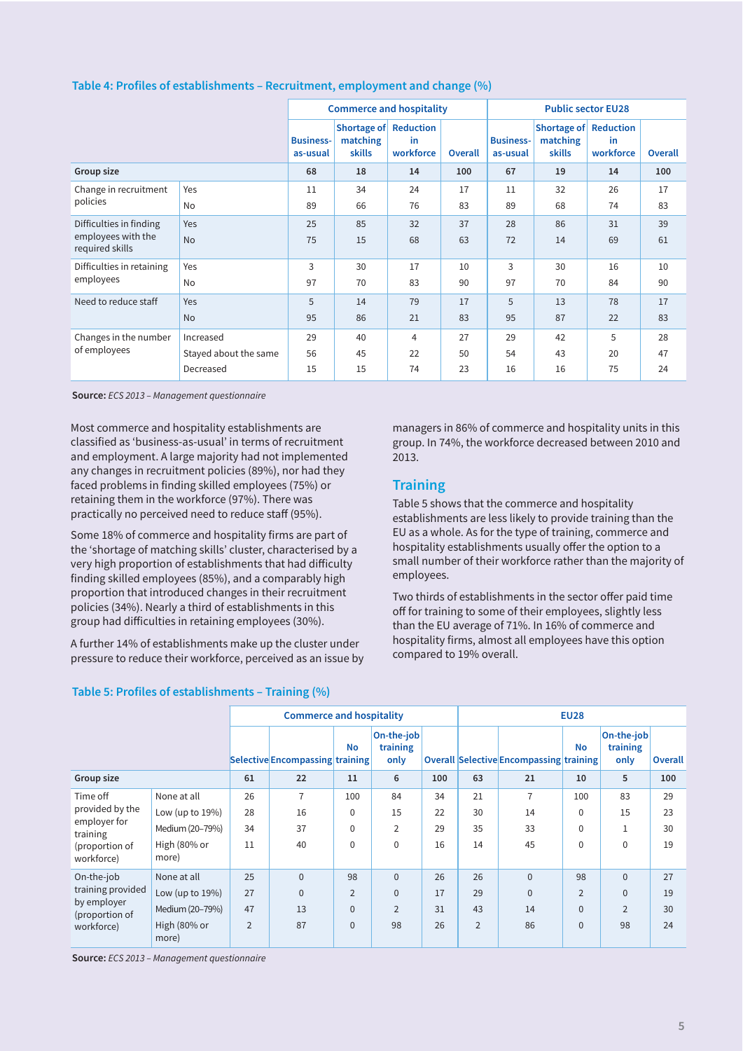|                                                                  |                       |                              | <b>Commerce and hospitality</b>                    |                 |         |                              | <b>Public sector EU28</b>                   |                  |                |  |  |  |
|------------------------------------------------------------------|-----------------------|------------------------------|----------------------------------------------------|-----------------|---------|------------------------------|---------------------------------------------|------------------|----------------|--|--|--|
|                                                                  |                       | <b>Business-</b><br>as-usual | Shortage of Reduction<br>matching<br><b>skills</b> | in<br>workforce | Overall | <b>Business-</b><br>as-usual | Shortage of Reduction<br>matching<br>skills | in.<br>workforce | <b>Overall</b> |  |  |  |
| Group size                                                       |                       | 68                           | 18                                                 | 14              | 100     | 67                           | 19                                          | 14               | 100            |  |  |  |
| Change in recruitment<br>policies                                | Yes                   | 11                           | 34                                                 | 24              | 17      | 11                           | 32                                          | 26               | 17             |  |  |  |
|                                                                  | No                    | 89                           | 66                                                 | 76              | 83      | 89                           | 68                                          | 74               | 83             |  |  |  |
| Difficulties in finding<br>employees with the<br>required skills | Yes                   | 25                           | 85                                                 | 32              | 37      | 28                           | 86                                          | 31               | 39             |  |  |  |
|                                                                  | <b>No</b>             | 75                           | 15                                                 | 68              | 63      | 72                           | 14                                          | 69               | 61             |  |  |  |
| Difficulties in retaining                                        | Yes                   | 3                            | 30                                                 | 17              | 10      | 3                            | 30                                          | 16               | 10             |  |  |  |
| employees                                                        | No                    | 97                           | 70                                                 | 83              | 90      | 97                           | 70                                          | 84               | 90             |  |  |  |
| Need to reduce staff                                             | Yes                   | 5                            | 14                                                 | 79              | 17      | 5                            | 13                                          | 78               | 17             |  |  |  |
|                                                                  | <b>No</b>             | 95                           | 86                                                 | 21              | 83      | 95                           | 87                                          | 22               | 83             |  |  |  |
| Changes in the number                                            | Increased             | 29                           | 40                                                 | 4               | 27      | 29                           | 42                                          | 5                | 28             |  |  |  |
| of employees                                                     | Stayed about the same | 56                           | 45                                                 | 22              | 50      | 54                           | 43                                          | 20               | 47             |  |  |  |
|                                                                  | Decreased             | 15                           | 15                                                 | 74              | 23      | 16                           | 16                                          | 75               | 24             |  |  |  |

#### **Table 4: Profiles of establishments – Recruitment, employment and change (%)**

**Source:** *ECS 2013 – Management questionnaire* 

Most commerce and hospitality establishments are classified as 'business-as-usual' in terms of recruitment and employment. A large majority had not implemented any changes in recruitment policies (89%), nor had they faced problems in finding skilled employees (75%) or retaining them in the workforce (97%). There was practically no perceived need to reduce staff (95%).

Some 18% of commerce and hospitality firms are part of the 'shortage of matching skills' cluster, characterised by a very high proportion of establishments that had difficulty finding skilled employees (85%), and a comparably high proportion that introduced changes in their recruitment policies (34%). Nearly a third of establishments in this group had difficulties in retaining employees (30%).

A further 14% of establishments make up the cluster under pressure to reduce their workforce, perceived as an issue by

#### **Table 5: Profiles of establishments – Training (%)**

managers in 86% of commerce and hospitality units in this group. In 74%, the workforce decreased between 2010 and 2013.

#### **Training**

Table 5 shows that the commerce and hospitality establishments are less likely to provide training than the EU as a whole. As for the type of training, commerce and hospitality establishments usually offer the option to a small number of their workforce rather than the majority of employees.

Two thirds of establishments in the sector offer paid time off for training to some of their employees, slightly less than the EU average of 71%. In 16% of commerce and hospitality firms, almost all employees have this option compared to 19% overall.

|                                                         |                       |                | <b>Commerce and hospitality</b> |                |                                |     |                |                                                | <b>EU28</b>    |                                |                |
|---------------------------------------------------------|-----------------------|----------------|---------------------------------|----------------|--------------------------------|-----|----------------|------------------------------------------------|----------------|--------------------------------|----------------|
|                                                         |                       |                | Selective Encompassing training | <b>No</b>      | On-the-job<br>training<br>only |     |                | <b>Overall Selective Encompassing training</b> | <b>No</b>      | On-the-job<br>training<br>only | <b>Overall</b> |
| Group size                                              |                       | 61             | 22                              | 11             | 6                              | 100 | 63             | 21                                             | 10             | 5                              | 100            |
| Time off<br>provided by the<br>employer for<br>training | None at all           | 26             | $\overline{7}$                  | 100            | 84                             | 34  | 21             | $\overline{7}$                                 | 100            | 83                             | 29             |
|                                                         | Low (up to $19\%$ )   | 28             | 16                              | $\mathbf 0$    | 15                             | 22  | 30             | 14                                             | $\Omega$       | 15                             | 23             |
|                                                         | Medium (20-79%)       | 34             | 37                              | $\mathbf 0$    | $\overline{2}$                 | 29  | 35             | 33                                             | $\Omega$       | 1                              | 30             |
| (proportion of<br>workforce)                            | High (80% or<br>more) | 11             | 40                              | $\mathbf 0$    | $\mathbf 0$                    | 16  | 14             | 45                                             | $\Omega$       | $\Omega$                       | 19             |
| On-the-job                                              | None at all           | 25             | $\overline{0}$                  | 98             | $\Omega$                       | 26  | 26             | $\Omega$                                       | 98             | $\Omega$                       | 27             |
| training provided                                       | Low (up to $19\%$ )   | 27             | 0                               | $\overline{2}$ | $\mathbf{0}$                   | 17  | 29             | $\Omega$                                       | $\overline{2}$ | $\mathbf{0}$                   | 19             |
| by employer<br>(proportion of                           | Medium (20-79%)       | 47             | 13                              | $\mathbf{0}$   | $\overline{2}$                 | 31  | 43             | 14                                             | $\Omega$       | $\overline{2}$                 | 30             |
| workforce)                                              | High (80% or<br>more) | $\overline{2}$ | 87                              | $\mathbf{0}$   | 98                             | 26  | $\overline{2}$ | 86                                             | $\mathbf{0}$   | 98                             | 24             |

**Source:** *ECS 2013 – Management questionnaire*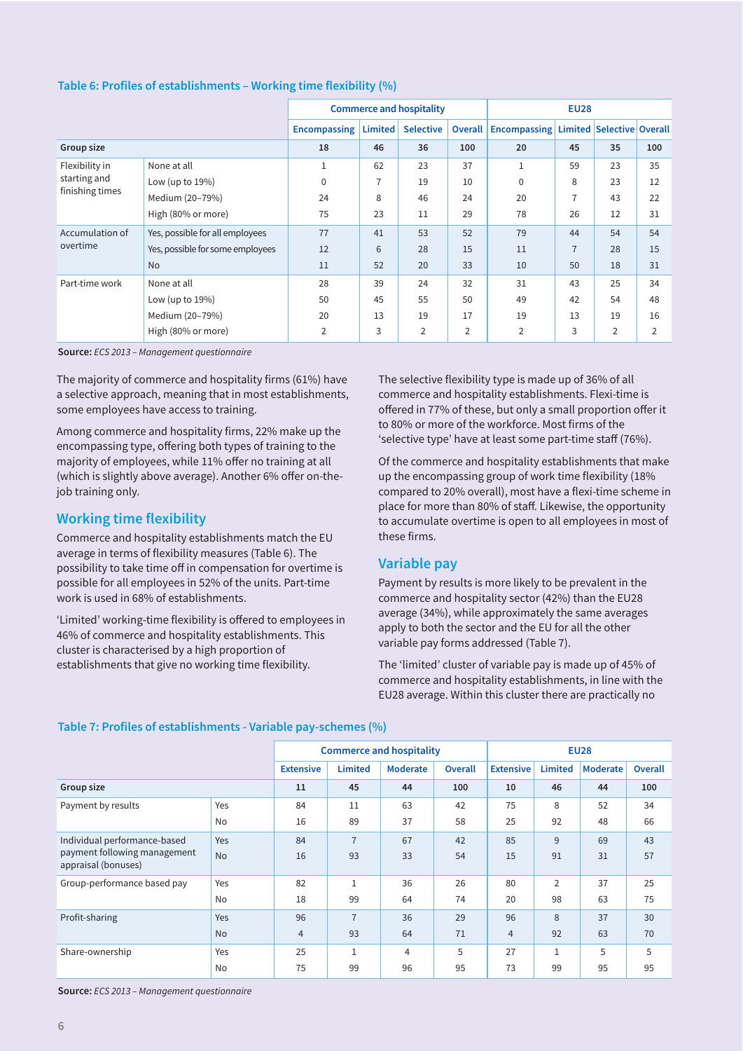|                 |                                  |                     |         | <b>Commerce and hospitality</b> |                | <b>EU28</b>                                   |                |    |                |  |
|-----------------|----------------------------------|---------------------|---------|---------------------------------|----------------|-----------------------------------------------|----------------|----|----------------|--|
|                 |                                  | <b>Encompassing</b> | Limited | <b>Selective</b>                | <b>Overall</b> | <b>Encompassing Limited Selective Overall</b> |                |    |                |  |
| Group size      |                                  | 18                  | 46      | 36                              | 100            | 20                                            | 45             | 35 | 100            |  |
| Flexibility in  | None at all                      | $\mathbf 1$         | 62      | 23                              | 37             | 1                                             | 59             | 23 | 35             |  |
| starting and    | Low (up to $19\%$ )              | $\mathbf 0$         | 7       | 19                              | 10             | 0                                             | 8              | 23 | 12             |  |
| finishing times | Medium (20-79%)                  | 24                  | 8       | 46                              | 24             | 20                                            |                | 43 | 22             |  |
|                 | High (80% or more)               | 75                  | 23      | 11                              | 29             | 78                                            | 26             | 12 | 31             |  |
| Accumulation of | Yes, possible for all employees  | 77                  | 41      | 53                              | 52             | 79                                            | 44             | 54 | 54             |  |
| overtime        | Yes, possible for some employees | 12                  | 6       | 28                              | 15             | 11                                            | $\overline{7}$ | 28 | 15             |  |
|                 | <b>No</b>                        | 11                  | 52      | 20                              | 33             | 10                                            | 50             | 18 | 31             |  |
| Part-time work  | None at all                      | 28                  | 39      | 24                              | 32             | 31                                            | 43             | 25 | 34             |  |
|                 | Low (up to $19\%$ )              | 50                  | 45      | 55                              | 50             | 49                                            | 42             | 54 | 48             |  |
|                 | Medium (20-79%)                  | 20                  | 13      | 19                              | 17             | 19                                            | 13             | 19 | 16             |  |
|                 | High (80% or more)               | $\overline{2}$      | 3       | $\overline{2}$                  | 2              | $\overline{2}$                                | 3              | 2  | $\overline{2}$ |  |

#### **Table 6: Profiles of establishments – Working time flexibility (%)**

**Source:** *ECS 2013 – Management questionnaire* 

The majority of commerce and hospitality firms (61%) have a selective approach, meaning that in most establishments, some employees have access to training.

Among commerce and hospitality firms, 22% make up the encompassing type, offering both types of training to the majority of employees, while 11% offer no training at all (which is slightly above average). Another 6% offer on-thejob training only.

#### **Working time flexibility**

Commerce and hospitality establishments match the EU average in terms of flexibility measures (Table 6). The possibility to take time off in compensation for overtime is possible for all employees in 52% of the units. Part-time work is used in 68% of establishments.

'Limited' working-time flexibility is offered to employees in 46% of commerce and hospitality establishments. This cluster is characterised by a high proportion of establishments that give no working time flexibility.

The selective flexibility type is made up of 36% of all commerce and hospitality establishments. Flexi-time is offered in 77% of these, but only a small proportion offer it to 80% or more of the workforce. Most firms of the 'selective type' have at least some part-time staff (76%).

Of the commerce and hospitality establishments that make up the encompassing group of work time flexibility (18% compared to 20% overall), most have a flexi-time scheme in place for more than 80% of staff. Likewise, the opportunity to accumulate overtime is open to all employees in most of these firms.

#### **Variable pay**

Payment by results is more likely to be prevalent in the commerce and hospitality sector (42%) than the EU28 average (34%), while approximately the same averages apply to both the sector and the EU for all the other variable pay forms addressed (Table 7).

The 'limited' cluster of variable pay is made up of 45% of commerce and hospitality establishments, in line with the EU28 average. Within this cluster there are practically no

#### **Table 7: Profiles of establishments - Variable pay-schemes (%)**

|                                                     |           |                  |                | <b>Commerce and hospitality</b> | <b>EU28</b>    |                  |                |                 |         |
|-----------------------------------------------------|-----------|------------------|----------------|---------------------------------|----------------|------------------|----------------|-----------------|---------|
|                                                     |           | <b>Extensive</b> | <b>Limited</b> | <b>Moderate</b>                 | <b>Overall</b> | <b>Extensive</b> | Limited        | <b>Moderate</b> | Overall |
| Group size                                          |           | 11               | 45             | 44                              | 100            | 10               | 46             | 44              | 100     |
| Payment by results                                  | Yes       | 84               | 11             | 63                              | 42             | 75               | 8              | 52              | 34      |
|                                                     | No        | 16               | 89             | 37                              | 58             | 25               | 92             | 48              | 66      |
| Individual performance-based                        | Yes       | 84               | $\overline{7}$ | 67                              | 42             | 85               | 9              | 69              | 43      |
| payment following management<br>appraisal (bonuses) | <b>No</b> | 16               | 93             | 33                              | 54             | 15               | 91             | 31              | 57      |
| Group-performance based pay                         | Yes       | 82               |                | 36                              | 26             | 80               | $\overline{2}$ | 37              | 25      |
|                                                     | No        | 18               | 99             | 64                              | 74             | 20               | 98             | 63              | 75      |
| Profit-sharing                                      | Yes       | 96               | $\overline{7}$ | 36                              | 29             | 96               | 8              | 37              | 30      |
|                                                     | <b>No</b> | $\overline{4}$   | 93             | 64                              | 71             | $\overline{4}$   | 92             | 63              | 70      |
| Share-ownership                                     | Yes       | 25               |                | $\overline{4}$                  | 5              | 27               | в              | 5               | 5       |
|                                                     | No        | 75               | 99             | 96                              | 95             | 73               | 99             | 95              | 95      |

**Source:** *ECS 2013 – Management questionnaire*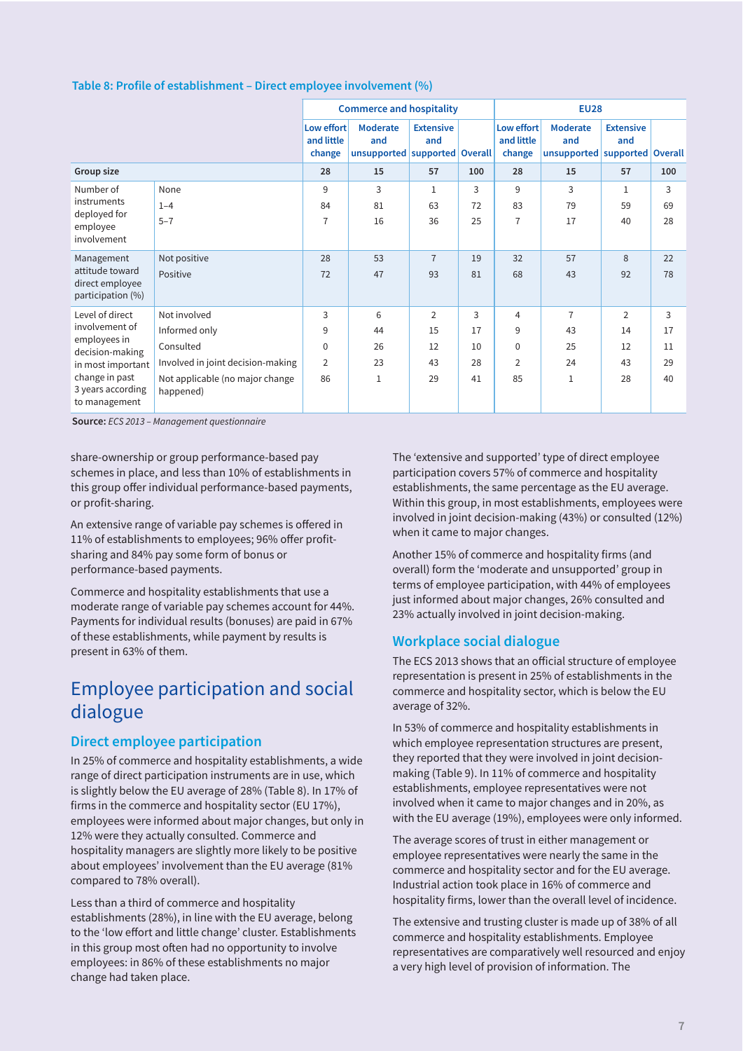|                                                                       |                                              |                                    | <b>Commerce and hospitality</b>                             |                         |          | <b>EU28</b>                        |                                                  |                         |          |  |
|-----------------------------------------------------------------------|----------------------------------------------|------------------------------------|-------------------------------------------------------------|-------------------------|----------|------------------------------------|--------------------------------------------------|-------------------------|----------|--|
|                                                                       |                                              | Low effort<br>and little<br>change | <b>Moderate</b><br>and<br>unsupported   supported   Overall | <b>Extensive</b><br>and |          | Low effort<br>and little<br>change | Moderate<br>and<br>unsupported supported Overall | <b>Extensive</b><br>and |          |  |
| Group size                                                            |                                              | 28                                 | 15                                                          | 57                      | 100      | 28                                 | 15                                               | 57                      | 100      |  |
| Number of<br>instruments<br>deployed for<br>employee<br>involvement   | None                                         | 9                                  | 3                                                           | 1                       | 3        | 9                                  | 3                                                | 1                       | 3        |  |
|                                                                       | $1 - 4$<br>$5 - 7$                           | 84<br>$\overline{7}$               | 81<br>16                                                    | 63<br>36                | 72<br>25 | 83<br>$\overline{7}$               | 79<br>17                                         | 59<br>40                | 69<br>28 |  |
| Management<br>attitude toward<br>direct employee<br>participation (%) | Not positive<br>Positive                     | 28<br>72                           | 53<br>47                                                    | $\overline{7}$<br>93    | 19<br>81 | 32<br>68                           | 57<br>43                                         | 8<br>92                 | 22<br>78 |  |
| Level of direct                                                       | Not involved                                 | 3                                  | 6                                                           | 2                       | 3        | 4                                  | $\overline{7}$                                   | $\overline{2}$          | 3        |  |
| involvement of<br>employees in                                        | Informed only                                | 9                                  | 44                                                          | 15                      | 17       | 9                                  | 43                                               | 14                      | 17       |  |
| decision-making                                                       | Consulted                                    | $\Omega$                           | 26                                                          | 12                      | 10       | $\mathbf 0$                        | 25                                               | 12                      | 11       |  |
| in most important                                                     | Involved in joint decision-making            | $\overline{2}$                     | 23                                                          | 43                      | 28       | $\overline{2}$                     | 24                                               | 43                      | 29       |  |
| change in past<br>3 years according<br>to management                  | Not applicable (no major change<br>happened) | 86                                 | $\mathbf{1}$                                                | 29                      | 41       | 85                                 | $\mathbf{1}$                                     | 28                      | 40       |  |

**Source:** *ECS 2013 – Management questionnaire* 

share-ownership or group performance-based pay schemes in place, and less than 10% of establishments in this group offer individual performance-based payments, or profit-sharing.

An extensive range of variable pay schemes is offered in 11% of establishments to employees; 96% offer profitsharing and 84% pay some form of bonus or performance-based payments.

Commerce and hospitality establishments that use a moderate range of variable pay schemes account for 44%. Payments for individual results (bonuses) are paid in 67% of these establishments, while payment by results is present in 63% of them.

## Employee participation and social dialogue

#### **Direct employee participation**

In 25% of commerce and hospitality establishments, a wide range of direct participation instruments are in use, which is slightly below the EU average of 28% (Table 8). In 17% of firms in the commerce and hospitality sector (EU 17%), employees were informed about major changes, but only in 12% were they actually consulted. Commerce and hospitality managers are slightly more likely to be positive about employees' involvement than the EU average (81% compared to 78% overall).

Less than a third of commerce and hospitality establishments (28%), in line with the EU average, belong to the 'low effort and little change' cluster. Establishments in this group most often had no opportunity to involve employees: in 86% of these establishments no major change had taken place.

The 'extensive and supported' type of direct employee participation covers 57% of commerce and hospitality establishments, the same percentage as the EU average. Within this group, in most establishments, employees were involved in joint decision-making (43%) or consulted (12%) when it came to major changes.

Another 15% of commerce and hospitality firms (and overall) form the 'moderate and unsupported' group in terms of employee participation, with 44% of employees just informed about major changes, 26% consulted and 23% actually involved in joint decision-making.

#### **Workplace social dialogue**

The ECS 2013 shows that an official structure of employee representation is present in 25% of establishments in the commerce and hospitality sector, which is below the EU average of 32%.

In 53% of commerce and hospitality establishments in which employee representation structures are present, they reported that they were involved in joint decisionmaking (Table 9). In 11% of commerce and hospitality establishments, employee representatives were not involved when it came to major changes and in 20%, as with the EU average (19%), employees were only informed.

The average scores of trust in either management or employee representatives were nearly the same in the commerce and hospitality sector and for the EU average. Industrial action took place in 16% of commerce and hospitality firms, lower than the overall level of incidence.

The extensive and trusting cluster is made up of 38% of all commerce and hospitality establishments. Employee representatives are comparatively well resourced and enjoy a very high level of provision of information. The